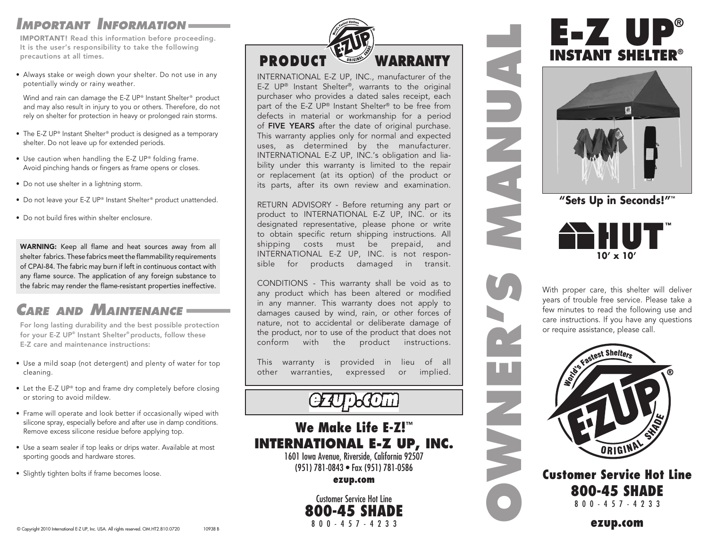# *Important Information*

IMPORTANT! Read this information before proceeding. It is the user's responsibility to take the following precautions at all times.

• Always stake or weigh down your shelter. Do not use in any potentially windy or rainy weather.

Wind and rain can damage the E-Z UP® Instant Shelter® product and may also result in injury to you or others. Therefore, do not rely on shelter for protection in heavy or prolonged rain storms.

- The E-Z UP® Instant Shelter® product is designed as a temporary shelter. Do not leave up for extended periods.
- Use caution when handling the E-Z UP® folding frame. Avoid pinching hands or fingers as frame opens or closes.
- Do not use shelter in a lightning storm.
- Do not leave your E-Z UP® Instant Shelter® product unattended.
- Do not build fires within shelter enclosure.

WARNING: Keep all flame and heat sources away from all shelter fabrics. These fabrics meet the flammability requirements of CPAI-84. The fabric may burn if left in continuous contact with any flame source. The application of any foreign substance to the fabric may render the flame-resistant properties ineffective.

# *Care and Maintenance*

For long lasting durability and the best possible protection for your E-Z UP® Instant Shelter® products, follow these E-Z care and maintenance instructions:

- Use a mild soap (not detergent) and plenty of water for top cleaning.
- Let the E-Z UP® top and frame dry completely before closing or storing to avoid mildew.
- Frame will operate and look better if occasionally wiped with silicone spray, especially before and after use in damp conditions. Remove excess silicone residue before applying top.
- Use a seam sealer if top leaks or drips water. Available at most sporting goods and hardware stores.
- Slightly tighten bolts if frame becomes loose.



INTERNATIONAL E-Z UP, INC., manufacturer of the E-Z UP® Instant Shelter®, warrants to the original purchaser who provides a dated sales receipt, each part of the E-Z UP® Instant Shelter® to be free from defects in material or workmanship for a period of FIVE YEARS after the date of original purchase. This warranty applies only for normal and expected uses, as determined by the manufacturer. INTERNATIONAL E-Z UP, INC.'s obligation and liability under this warranty is limited to the repair or replacement (at its option) of the product or its parts, after its own review and examination.

RETURN ADVISORY - Before returning any part or product to INTERNATIONAL E-Z UP, INC. or its designated representative, please phone or write to obtain specific return shipping instructions. All shipping costs must be prepaid, and INTERNATIONAL E-Z UP, INC. is not responsible for products damaged in transit.

CONDITIONS - This warranty shall be void as to any product which has been altered or modified in any manner. This warranty does not apply to damages caused by wind, rain, or other forces of nature, not to accidental or deliberate damage of the product, nor to use of the product that does not conform with the product instructions.

This warranty is provided in lieu of all other warranties, expressed or implied.

## We Make Life E-Z! ™ **INTERNATIONAL E-Z UP, INC.**

1601 Iowa Avenue, Riverside, California 92507 (951) 781-0843 • Fax (951) 781-0586

ezup.com

Customer Service Hot Line **800-45 SHADE** 

# **E-Z UP® INSTANT SHELTER®**



**<sup>&</sup>quot;Sets Up in Seconds!"™**



**OWNER'S MANUAL**

With proper care, this shelter will deliver years of trouble free service. Please take a few minutes to read the following use and care instructions. If you have any questions or require assistance, please call.



### Customer Service Hot Line 800-45 SHADE 800-457-4233

ezup.com